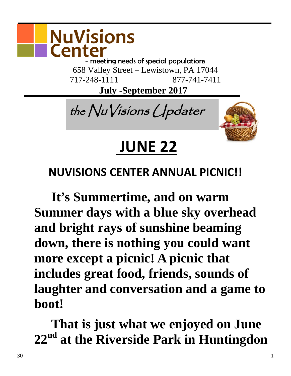

- meeting needs of special populations 658 Valley Street – Lewistown, PA 17044 717-248-1111 877-741-7411

 **July -September 2017**

the NuVisions Updater



# **JUNE 22**

#### **NUVISIONS CENTER ANNUAL PICNIC!!**

**It's Summertime, and on warm Summer days with a blue sky overhead and bright rays of sunshine beaming down, there is nothing you could want more except a picnic! A picnic that includes great food, friends, sounds of laughter and conversation and a game to boot!** 

**That is just what we enjoyed on June 22nd at the Riverside Park in Huntingdon**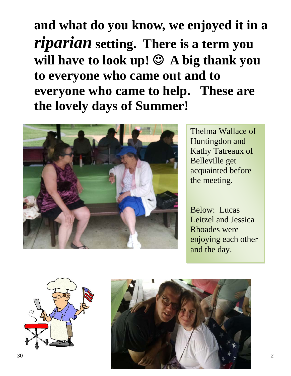## **and what do you know, we enjoyed it in a**  *riparian* **setting. There is a term you will have to look up! A big thank you to everyone who came out and to everyone who came to help. These are the lovely days of Summer!**



Thelma Wallace of Huntingdon and Kathy Tatreaux of Belleville get acquainted before the meeting.

Below: Lucas Leitzel and Jessica Rhoades were enjoying each other and the day.



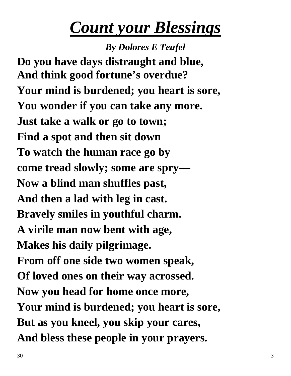## *Count your Blessings*

*By Dolores E Teufel* **Do you have days distraught and blue, And think good fortune's overdue? Your mind is burdened; you heart is sore, You wonder if you can take any more. Just take a walk or go to town; Find a spot and then sit down To watch the human race go by come tread slowly; some are spry— Now a blind man shuffles past, And then a lad with leg in cast. Bravely smiles in youthful charm. A virile man now bent with age, Makes his daily pilgrimage. From off one side two women speak, Of loved ones on their way acrossed. Now you head for home once more, Your mind is burdened; you heart is sore, But as you kneel, you skip your cares, And bless these people in your prayers.**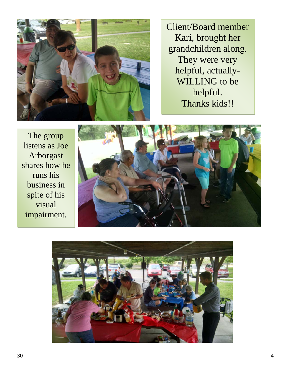

Client/Board member Kari, brought her grandchildren along. They were very helpful, actually-WILLING to be helpful. Thanks kids!!

The group listens as Joe Arborgast shares how he runs his business in spite of his visual impairment.



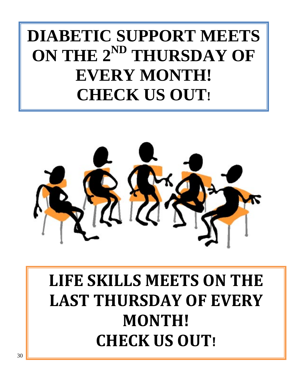# **DIABETIC SUPPORT MEETS ON THE 2ND THURSDAY OF EVERY MONTH! CHECK US OUT!**



# **LIFE SKILLS MEETS ON THE LAST THURSDAY OF EVERY MONTH! CHECK US OUT!**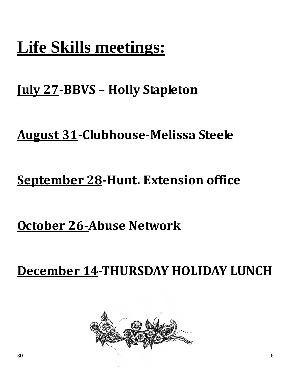# **Life Skills meetings:**

## **July 27-BBVS – Holly Stapleton**

#### **August 31-Clubhouse-Melissa Steele**

## **September 28-Hunt. Extension office**

## **October 26-Abuse Network**

**December 14-THURSDAY HOLIDAY LUNCH** 

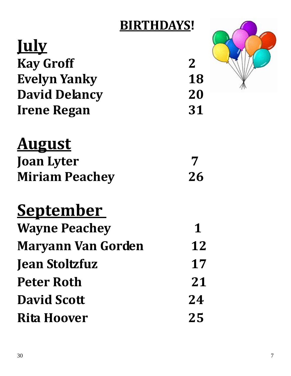## **BIRTHDAYS!**

| <u><b>July</b></u>   |             |
|----------------------|-------------|
| <b>Kay Groff</b>     | $\mathbf 2$ |
| <b>Evelyn Yanky</b>  | 18          |
| <b>David Delancy</b> | 20          |
| <b>Irene Regan</b>   | 31          |



## **August Joan Lyter 7**

| JUAII LY LUI          |    |
|-----------------------|----|
| <b>Miriam Peachey</b> | 26 |

# **September**

| <b>Wayne Peachey</b>      | 1  |
|---------------------------|----|
| <b>Maryann Van Gorden</b> | 12 |
| <b>Jean Stoltzfuz</b>     | 17 |
| <b>Peter Roth</b>         | 21 |
| <b>David Scott</b>        | 24 |
| <b>Rita Hoover</b>        | 25 |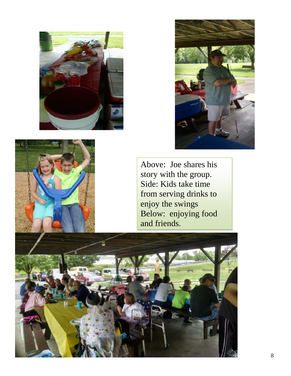





Above: Joe shares his story with the group. Side: Kids take time from serving drinks to enjoy the swings Below: enjoying food and friends.

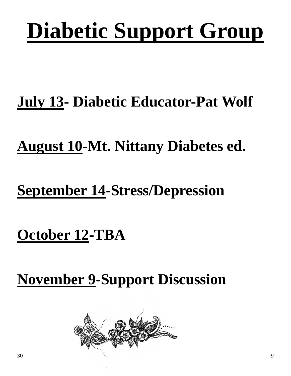# **Diabetic Support Group**

# **July 13- Diabetic Educator-Pat Wolf**

## **August 10-Mt. Nittany Diabetes ed.**

## **September 14-Stress/Depression**

## **October 12-TBA**

**November 9-Support Discussion**

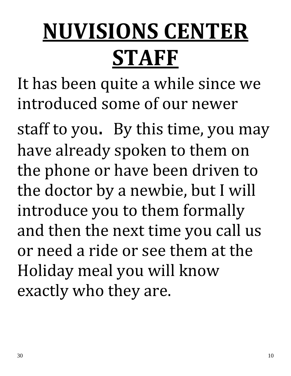# **NUVISIONS CENTER STAFF**

It has been quite a while since we introduced some of our newer

staff to you. By this time, you may have already spoken to them on the phone or have been driven to the doctor by a newbie, but I will introduce you to them formally and then the next time you call us or need a ride or see them at the Holiday meal you will know exactly who they are.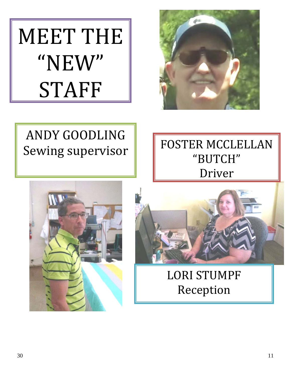MEET THE "NEW" STAFF



## ANDY GOODLING Sewing supervisor

FOSTER MCCLELLAN "BUTCH" Driver





LORI STUMPF Reception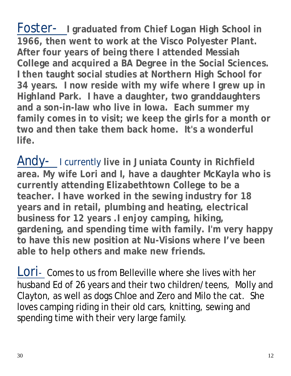Foster- **I graduated from Chief Logan High School in 1966, then went to work at the Visco Polyester Plant. After four years of being there I attended Messiah College and acquired a BA Degree in the Social Sciences. I then taught social studies at Northern High School for 34 years. I now reside with my wife where I grew up in Highland Park. I have a daughter, two granddaughters and a son-in-law who live in Iowa. Each summer my family comes in to visit; we keep the girls for a month or two and then take them back home. It's a wonderful life.**

Andy- I currently **live in Juniata County in Richfield area. My wife Lori and I, have a daughter McKayla who is currently attending Elizabethtown College to be a teacher. I have worked in the sewing industry for 18 years and in retail, plumbing and heating, electrical business for 12 years .I enjoy camping, hiking, gardening, and spending time with family. I'm very happy to have this new position at Nu-Visions where I've been able to help others and make new friends.** 

LOTI- Comes to us from Belleville where she lives with her husband Ed of 26 years and their two children/teens, Molly and Clayton, as well as dogs Chloe and Zero and Milo the cat. She loves camping riding in their old cars, knitting, sewing and spending time with their very large family.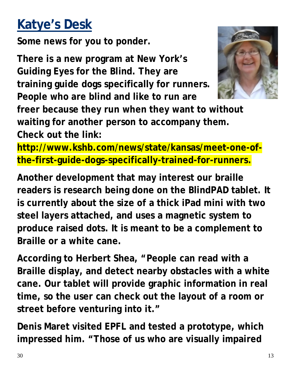## **Katye's Desk**

**Some news for you to ponder.**

**There is a new program at New York's Guiding Eyes for the Blind. They are training guide dogs specifically for runners. People who are blind and like to run are** 



**freer because they run when they want to without waiting for another person to accompany them. Check out the link:** 

**http://www.kshb.com/news/state/kansas/meet-one-ofthe-first-guide-dogs-specifically-trained-for-runners.**

**Another development that may interest our braille readers is research being done on the BlindPAD tablet. It is currently about the size of a thick iPad mini with two steel layers attached, and uses a magnetic system to produce raised dots. It is meant to be a complement to Braille or a white cane.** 

**According to Herbert Shea, "People can read with a Braille display, and detect nearby obstacles with a white cane. Our tablet will provide graphic information in real time, so the user can check out the layout of a room or street before venturing into it."**

**Denis Maret visited EPFL and tested a prototype, which impressed him. "Those of us who are visually impaired**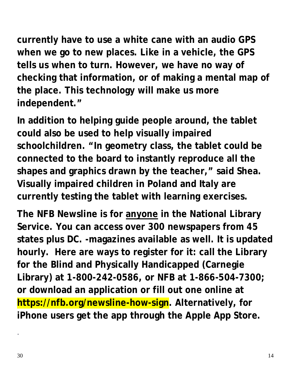**currently have to use a white cane with an audio GPS when we go to new places. Like in a vehicle, the GPS tells us when to turn. However, we have no way of checking that information, or of making a mental map of the place. This technology will make us more independent."**

**In addition to helping guide people around, the tablet could also be used to help visually impaired schoolchildren. "In geometry class, the tablet could be connected to the board to instantly reproduce all the shapes and graphics drawn by the teacher," said Shea. Visually impaired children in Poland and Italy are currently testing the tablet with learning exercises.**

**The NFB Newsline is for anyone in the National Library Service. You can access over 300 newspapers from 45 states plus DC. -magazines available as well. It is updated hourly. Here are ways to register for it: call the Library for the Blind and Physically Handicapped (Carnegie Library) at 1-800-242-0586, or NFB at 1-866-504-7300; or download an application or fill out one online at https://nfb.org/newsline-how-sign. Alternatively, for iPhone users get the app through the Apple App Store.** 

.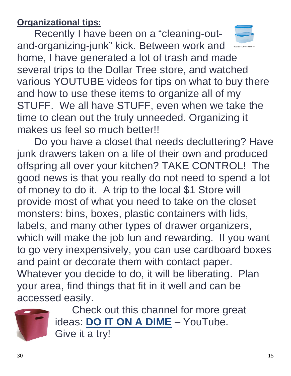**Organizational tips:**

Recently I have been on a "cleaning-outand-organizing-junk" kick. Between work and home, I have generated a lot of trash and made several trips to the Dollar Tree store, and watched various YOUTUBE videos for tips on what to buy there and how to use these items to organize all of my STUFF. We all have STUFF, even when we take the time to clean out the truly unneeded. Organizing it makes us feel so much better!!

Do you have a closet that needs decluttering? Have junk drawers taken on a life of their own and produced offspring all over your kitchen? TAKE CONTROL! The good news is that you really do not need to spend a lot of money to do it. A trip to the local \$1 Store will provide most of what you need to take on the closet monsters: bins, boxes, plastic containers with lids, labels, and many other types of drawer organizers, which will make the job fun and rewarding. If you want to go very inexpensively, you can use cardboard boxes and paint or decorate them with contact paper. Whatever you decide to do, it will be liberating. Plan your area, find things that fit in it well and can be accessed easily.



Check out this channel for more great ideas: **DO IT ON A DIME** – YouTube. Give it a try!

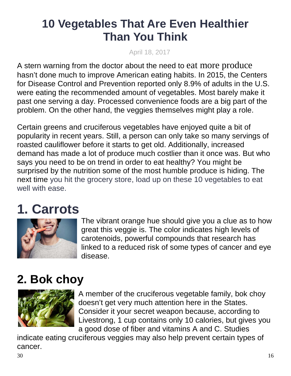#### **10 Vegetables That Are Even Healthier Than You Think**

April 18, 2017

A stern warning from the doctor about the need to [eat more produce](http://www.cheatsheet.com/life/7-tasty-ways-to-eat-more-healthy-veggies.html/) hasn't done much to improve American eating habits. In 2015, the Centers for Disease Control and Prevention reported only 8.9% of adults in the U.S. were eating the recommended amount of vegetables. Most barely make it past one serving a day. Processed convenience foods are a big part of the problem. On the other hand, the veggies themselves might play a role.

Certain greens and cruciferous vegetables have enjoyed quite a bit of popularity in recent years. Still, a person can only take so many servings of roasted cauliflower before it starts to get old. Additionally, increased demand has made a lot of produce much costlier than it once was. But who says you need to be on trend in order to eat healthy? You might be surprised by the nutrition some of the most humble produce is hiding. The next time you hit the grocery store, load up on these 10 vegetables to eat well with ease.

## **1. Carrots**



The vibrant orange hue should give you a clue as to how great this veggie is. The color indicates high levels of carotenoids, powerful compounds that research has linked to a reduced risk of some types of cancer and eye disease.

#### **2. Bok choy**



A member of the cruciferous vegetable family, bok choy doesn't get very much attention here in the States. Consider it your secret weapon because, according to Livestrong, 1 cup contains only 10 calories, but gives you a good dose of fiber and vitamins A and C. Studies

indicate eating cruciferous veggies may also help prevent certain types of cancer.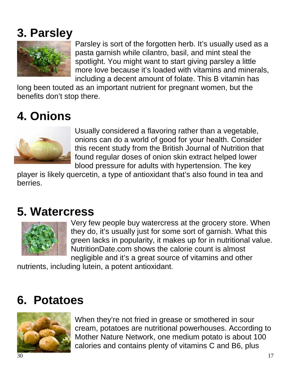#### **3. Parsley**



Parsley is sort of the forgotten herb. It's usually used as a pasta garnish while cilantro, basil, and mint steal the spotlight. You might want to start giving parsley a little more love because it's loaded with vitamins and minerals, including a decent amount of folate. This B vitamin has

long been touted as an important nutrient for pregnant women, but the benefits don't stop there.

#### **4. Onions**



Usually considered a flavoring rather than a vegetable, onions can do a world of good for your health. Consider this recent study from the British Journal of Nutrition that found regular doses of onion skin extract helped lower blood pressure for adults with hypertension. The key

player is likely quercetin, a type of antioxidant that's also found in tea and berries.

#### **5. Watercress**



Very few people buy watercress at the grocery store. When they do, it's usually just for some sort of garnish. What this green lacks in popularity, it makes up for in nutritional value. NutritionDate.com shows the calorie count is almost negligible and it's a great source of vitamins and other

nutrients, including lutein, a potent antioxidant.

#### **6. Potatoes**



When they're not fried in grease or smothered in sour cream, potatoes are nutritional powerhouses. According to Mother Nature Network, one medium potato is about 100 calories and contains plenty of vitamins C and B6, plus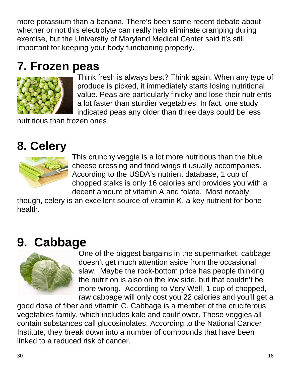more potassium than a banana. There's been some recent debate about whether or not this electrolyte can really help eliminate cramping during exercise, but the University of Maryland Medical Center said it's still important for keeping your body functioning properly.

#### **7. Frozen peas**



Think fresh is always best? Think again. When any type of produce is picked, it immediately starts losing nutritional value. Peas are particularly finicky and lose their nutrients a lot faster than sturdier vegetables. In fact, one study indicated peas any older than three days could be less

nutritious than frozen ones.

#### **8. Celery**



This crunchy veggie is a lot more nutritious than the blue cheese dressing and fried wings it usually accompanies. According to the USDA's nutrient database, 1 cup of chopped stalks is only 16 calories and provides you with a decent amount of vitamin A and folate. Most notably,

though, celery is an excellent source of vitamin K, a key nutrient for bone health.

#### **9. Cabbage**



One of the biggest bargains in the supermarket, cabbage doesn't get much attention aside from the occasional slaw. Maybe the rock-bottom price has people thinking the nutrition is also on the low side, but that couldn't be more wrong. According to Very Well, 1 cup of chopped, raw cabbage will only cost you 22 calories and you'll get a

good dose of fiber and vitamin C. Cabbage is a member of the cruciferous vegetables family, which includes kale and cauliflower. These veggies all contain substances call glucosinolates. According to the National Cancer Institute, they break down into a number of compounds that have been linked to a reduced risk of cancer.